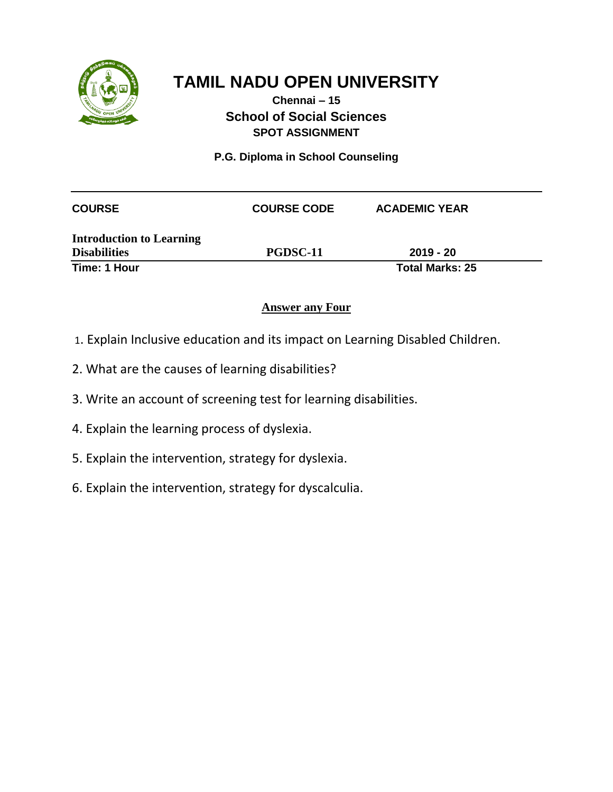

### **Chennai – 15 School of Social Sciences SPOT ASSIGNMENT**

**P.G. Diploma in School Counseling**

| <b>COURSE</b>                                          | <b>COURSE CODE</b> | <b>ACADEMIC YEAR</b>   |
|--------------------------------------------------------|--------------------|------------------------|
| <b>Introduction to Learning</b><br><b>Disabilities</b> | PGDSC-11           | $2019 - 20$            |
| Time: 1 Hour                                           |                    | <b>Total Marks: 25</b> |

- 1. Explain Inclusive education and its impact on Learning Disabled Children.
- 2. What are the causes of learning disabilities?
- 3. Write an account of screening test for learning disabilities.
- 4. Explain the learning process of dyslexia.
- 5. Explain the intervention, strategy for dyslexia.
- 6. Explain the intervention, strategy for dyscalculia.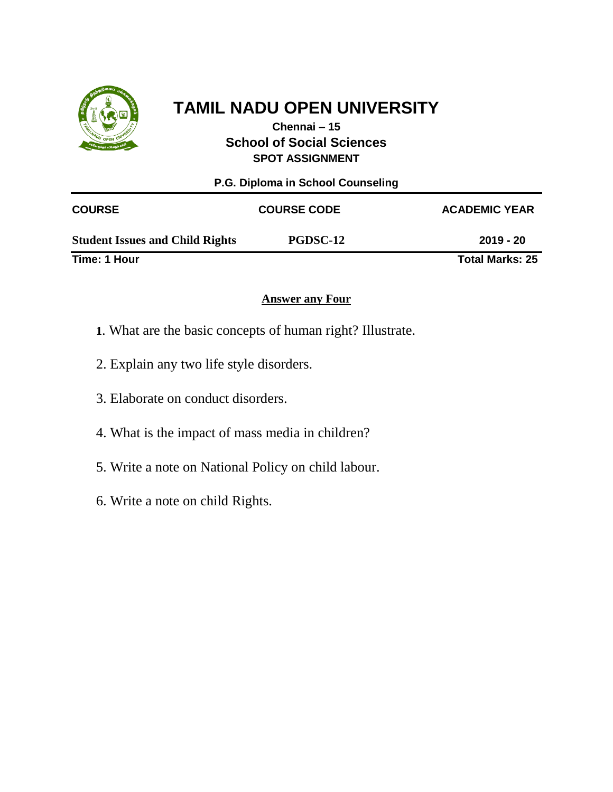

**Chennai – 15 School of Social Sciences SPOT ASSIGNMENT**

| P.G. Diploma in School Counseling      |                    |                        |  |
|----------------------------------------|--------------------|------------------------|--|
| <b>COURSE</b>                          | <b>COURSE CODE</b> | <b>ACADEMIC YEAR</b>   |  |
| <b>Student Issues and Child Rights</b> | <b>PGDSC-12</b>    | $2019 - 20$            |  |
| Time: 1 Hour                           |                    | <b>Total Marks: 25</b> |  |

- **1**. What are the basic concepts of human right? Illustrate.
- 2. Explain any two life style disorders.
- 3. Elaborate on conduct disorders.
- 4. What is the impact of mass media in children?
- 5. Write a note on National Policy on child labour.
- 6. Write a note on child Rights.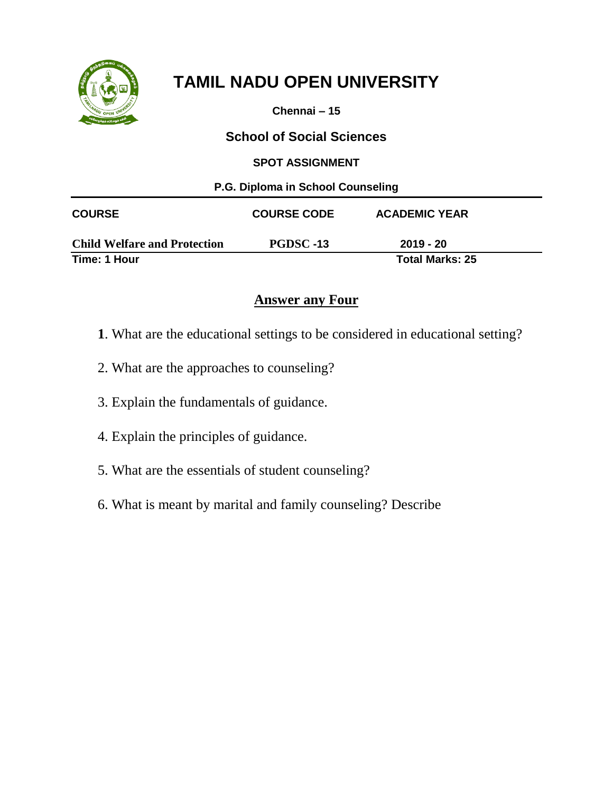

**Chennai – 15**

## **School of Social Sciences**

#### **SPOT ASSIGNMENT**

| P.G. Diploma in School Counseling   |                    |                        |  |
|-------------------------------------|--------------------|------------------------|--|
| <b>COURSE</b>                       | <b>COURSE CODE</b> | <b>ACADEMIC YEAR</b>   |  |
| <b>Child Welfare and Protection</b> | PGDSC-13           | $2019 - 20$            |  |
| Time: 1 Hour                        |                    | <b>Total Marks: 25</b> |  |

- **1**. What are the educational settings to be considered in educational setting?
- 2. What are the approaches to counseling?
- 3. Explain the fundamentals of guidance.
- 4. Explain the principles of guidance.
- 5. What are the essentials of student counseling?
- 6. What is meant by marital and family counseling? Describe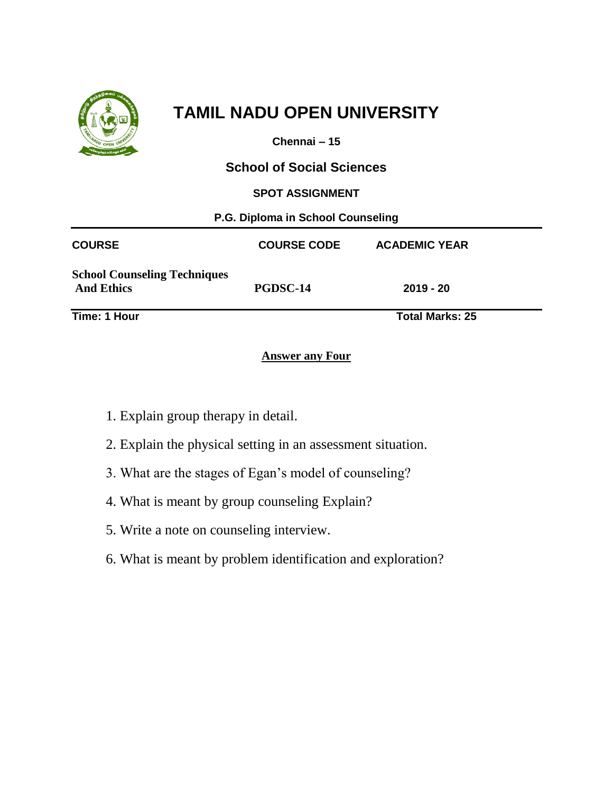

**Chennai – 15**

**School of Social Sciences**

**SPOT ASSIGNMENT**

**P.G. Diploma in School Counseling** 

| <b>COURSE</b>                                            | <b>COURSE CODE</b> | <b>ACADEMIC YEAR</b>   |
|----------------------------------------------------------|--------------------|------------------------|
| <b>School Counseling Techniques</b><br><b>And Ethics</b> | PGDSC-14           | $2019 - 20$            |
| Time: 1 Hour                                             |                    | <b>Total Marks: 25</b> |

- 1. Explain group therapy in detail.
- 2. Explain the physical setting in an assessment situation.
- 3. What are the stages of Egan's model of counseling?
- 4. What is meant by group counseling Explain?
- 5. Write a note on counseling interview.
- 6. What is meant by problem identification and exploration?